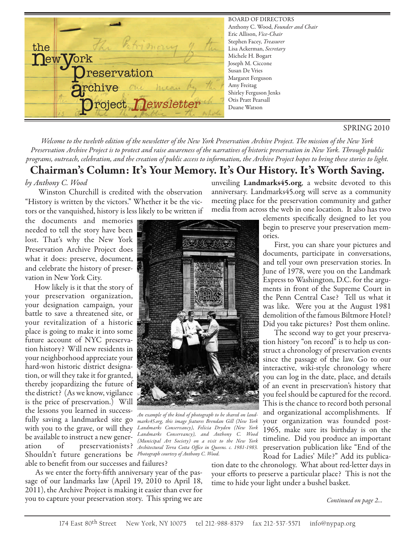

#### SPRING 2010

Welcome to the twelvth edition of the newsletter of the New York Preservation Archive Project. The mission of the New York Preservation Archive Project is to protect and raise awareness of the narratives of historic preservation in New York. Through public programs, outreach, celebration, and the creation of public access to information, the Archive Project hopes to bring these stories to light.

## **Chairman' s Column: It' s Your Memory. It' s Our History. It' s Worth Saving.**

#### by Anthony C. Wood

Winston Churchill is credited with the observation "History is written by the victors." Whether it be the victors or the vanquished, history is less likely to be written if

the documents and memories needed to tell the story have been lost. That's why the New York Preservation Archive Project does what it does: preserve, document, and celebrate the history of preservation in New York City.

How likely is it that the story of your preservation organization, your designation campaign, your battle to save a threatened site, or your revitalization of a historic place is going to make it into some future account of NYC preservation history? Will new residents in your neighborhood appreciate your hard-won historic district designation, or will they take it for granted, thereby jeopardizing the future of the district? (As we know, vigilance is the price of preservation.) Will the lessons you learned in successfully saving a landmarked site go be available to instruct a new generation of preservationists? Shouldn't future generations be Photograph courtesy of Anthony C. Wood. able to benefit from our successes and failures?



with you to the grave, or will they Landmarks Conservancy), Felicia Dryden (New York An example of the kind of photograph to be shared on landmarks45.org, this image features Brendan Gill (New York Landmarks Conservancy), and Anthony C. Wood (Municipal Art Society) on a visit to the New York Architectural Terra Cotta Office in Queens. c. 1981-1983.

As we enter the forty-fifth anniversary year of the passage of our landmarks law (April 19, 2010 to April 18, 2011), the Archive Project is making it easier than ever for you to capture your preservation story. This spring we are unveiling **Landmarks45.org**, a website devoted to this anniversary. Landmarks45.org will serve as a community meeting place for the preservation community and gather media from across the web in one location. It also has two

> elements specifically designed to let you begin to preserve your preservation memories.

> First, you can share your pictures and documents, participate in conversations, and tell your own preservation stories. In June of 1978, were you on the Landmark Express to Washington, D.C. for the arguments in front of the Supreme Court in the Penn Central Case? Tell us what it was like. Were you at the August 1981 demolition of the famous Biltmore Hotel? Did you take pictures? Post them online.

> The second way to get your preservation history "on record" is to help us construct a chronology of preservation events since the passage of the law. Go to our interactive, wiki-style chronology where you can log in the date, place, and details of an event in preservation's history that you feel should be captured for the record. This is the chance to record both personal and organizational accomplishments. If your organization was founded post-1965, make sure its birthday is on the timeline. Did you produce an important preservation publication like "End of the Road for Ladies' Mile?" Add its publica-

tion date to the chronology. What about red-letter days in your efforts to preserve a particular place? This is not the time to hide your light under a bushel basket.

Continued on page 2...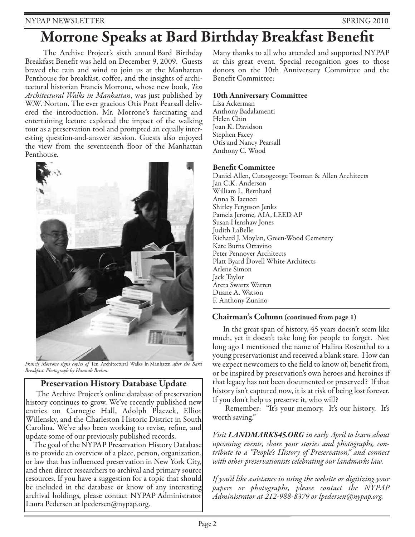# **Morrone Speaks at Bard Birthday Breakfast Bene7t**

The Archive Project's sixth annual Bard Birthday Breakfast Benefit was held on December 9, 2009. Guests braved the rain and wind to join us at the Manhattan Penthouse for breakfast, coffee, and the insights of architectural historian Francis Morrone, whose new book, Ten Architectural Walks in Manhattan, was just published by W.W. Norton. The ever gracious Otis Pratt Pearsall delivered the introduction. Mr. Morrone's fascinating and entertaining lecture explored the impact of the walking tour as a preservation tool and prompted an equally interesting question-and-answer session. Guests also enjoyed the view from the seventeenth floor of the Manhattan Penthouse.



Francis Morrone signs copies of Ten Architectural Walks in Manhattn after the Bard Breakfast. Photograph by Hannah Brehm.

## **Preservation History Database Update**

The Archive Project's online database of preservation history continues to grow. We've recently published new entries on Carnegie Hall, Adolph Placzek, Elliot Willensky, and the Charleston Historic District in South Carolina. We've also been working to revise, refine, and update some of our previously published records.

The goal of the NYPAP Preservation History Database is to provide an overview of a place, person, organization, or law that has influenced preservation in New York City, and then direct researchers to archival and primary source resources. If you have a suggestion for a topic that should be included in the database or know of any interesting archival holdings, please contact NYPAP Administrator Laura Pedersen at lpedersen@nypap.org.

Many thanks to all who attended and supported NYPAP at this great event. Special recognition goes to those donors on the 10th Anniversary Committee and the Benefit Committee:

### **10th Anniversary Committee**

Lisa Ackerman Anthony Badalamenti Helen Chin Joan K. Davidson Stephen Facey Otis and Nancy Pearsall Anthony C. Wood

### **Benefit Committee**

Daniel Allen, Cutsogeorge Tooman & Allen Architects Jan C.K. Anderson William L. Bernhard Anna B. Iacucci Shirley Ferguson Jenks Pamela Jerome, AIA, LEED AP Susan Henshaw Jones Judith LaBelle Richard J. Moylan, Green-Wood Cemetery Kate Burns Ottavino Peter Pennoyer Architects Platt Byard Dovell White Architects Arlene Simon Jack Taylor Areta Swartz Warren Duane A. Watson F. Anthony Zunino

## **Chairman's Column (continued from page 1)**

In the great span of history, 45 years doesn't seem like much, yet it doesn't take long for people to forget. Not long ago I mentioned the name of Halina Rosenthal to a young preservationist and received a blank stare. How can we expect newcomers to the field to know of, benefit from, or be inspired by preservation's own heroes and heroines if that legacy has not been documented or preserved? If that history isn't captured now, it is at risk of being lost forever. If you don't help us preserve it, who will?

Remember: "It's your memory. It's our history. It's worth saving."

Visit *LANDMARKS45.ORG* in early April to learn about upcoming events, share your stories and photographs, contribute to a "People's History of Preservation," and connect with other preservationists celebrating our landmarks law.

If you'd like assistance in using the website or digitizing your papers or photographs, please contact the NYPAP Administrator at 212-988-8379 or lpedersen@nypap.org.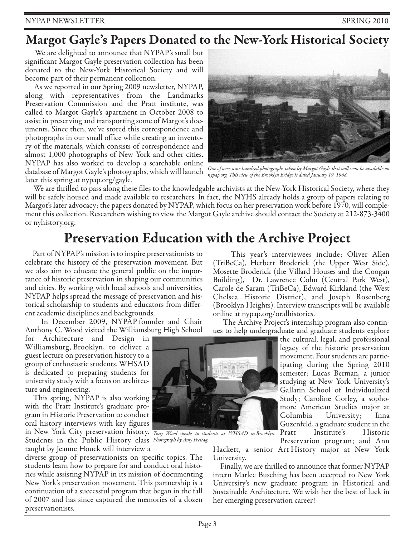## **Margot Gayle ' s Papers Donated to the New-York Historical Society**

We are delighted to announce that NYPAP's small but significant Margot Gayle preservation collection has been donated to the New-York Historical Society and will become part of their permanent collection.

As we reported in our Spring 2009 newsletter, NYPAP, along with representatives from the Landmarks Preservation Commission and the Pratt institute, was called to Margot Gayle's apartment in October 2008 to assist in preserving and transporting some of Margot's documents. Since then, we've stored this correspondence and photographs in our small office while creating an inventory of the materials, which consists of correspondence and almost 1,000 photographs of New York and other cities. NYPAP has also worked to develop a searchable online database of Margot Gayle's photographs, which will launch later this spring at nypap.org/gayle.



One of over nine hundred photographs taken by Margot Gayle that will soon be available on nypap.org. This view of the Brooklyn Bridge is dated January 19, 1968.

We are thrilled to pass along these files to the knowledgable archivists at the New-York Historical Society, where they will be safely housed and made available to researchers. In fact, the NYHS already holds a group of papers relating to Margot's later advocacy; the papers donated by NYPAP, which focus on her preservation work before 1970, will complement this collection. Researchers wishing to view the Margot Gayle archive should contact the Society at 212-873-3400 or nyhistory.org.

# **Preservation Education with the Archive Project**

Part of NYPAP's mission is to inspire preservationists to celebrate the history of the preservation movement. But we also aim to educate the general public on the importance of historic preservation in shaping our communities and cities. By working with local schools and universities, NYPAP helps spread the message of preservation and historical scholarship to students and educators from different academic disciplines and backgrounds.

In December 2009, NYPAP founder and Chair Anthony C. Wood visited the Williamsburg High School

for Architecture and Design in Williamsburg, Brooklyn, to deliver a guest lecture on preservation history to a group of enthusiastic students. WHSAD is dedicated to preparing students for university study with afocus on architecture and engineering.

This spring, NYPAP is also working with the Pratt Institute's graduate program in Historic Preservation to conduct oral history interviews with key figures in New York City preservation history. Tony Wood speaks to students at WHSAD in Brooklyn. Students in the Public History class Photograph by Amy Freitag. taught by Jeanne Houck will interview a

diverse group of preservationists on specific topics. The students learn how to prepare for and conduct oral histories while assisting NYPAP in its mission of documenting New York's preservation movement. This partnership is a continuation of a successful program that began in the fall of 2007 and has since captured the memories of a dozen preservationists.

This year's interviewees include: Oliver Allen (TriBeCa), Herbert Broderick (the Upper West Side), Mosette Broderick (the Villard Houses and the Coogan Building), Dr. Lawrence Cohn (Central Park West), Carole de Saram (TriBeCa), Edward Kirkland (the West Chelsea Historic District), and Joseph Rosenberg (Brooklyn Heights). Interview transcripts will be available online at nypap.org/oralhistories.

The Archive Project's internship program also continues to help undergraduate and graduate students explore

the cultural, legal, and professional legacy of the historic preservation movement. Four students are participating during the Spring 2010 semester: Lucas Berman, a junior studying at New York University's Gallatin School of Individualized Study; Caroline Corley, a sophomore American Studies major at Columbia University; Inna Guzenfeld, a graduate student in the Pratt Institute's Historic

Preservation program; and Ann Hackett, a senior Art History major at New York University.

Finally, we are thrilled to announce that former NYPAP intern Marlee Busching has been accepted to New York University's new graduate program in Historical and Sustainable Architecture. We wish her the best of luck in her emerging preservation career!